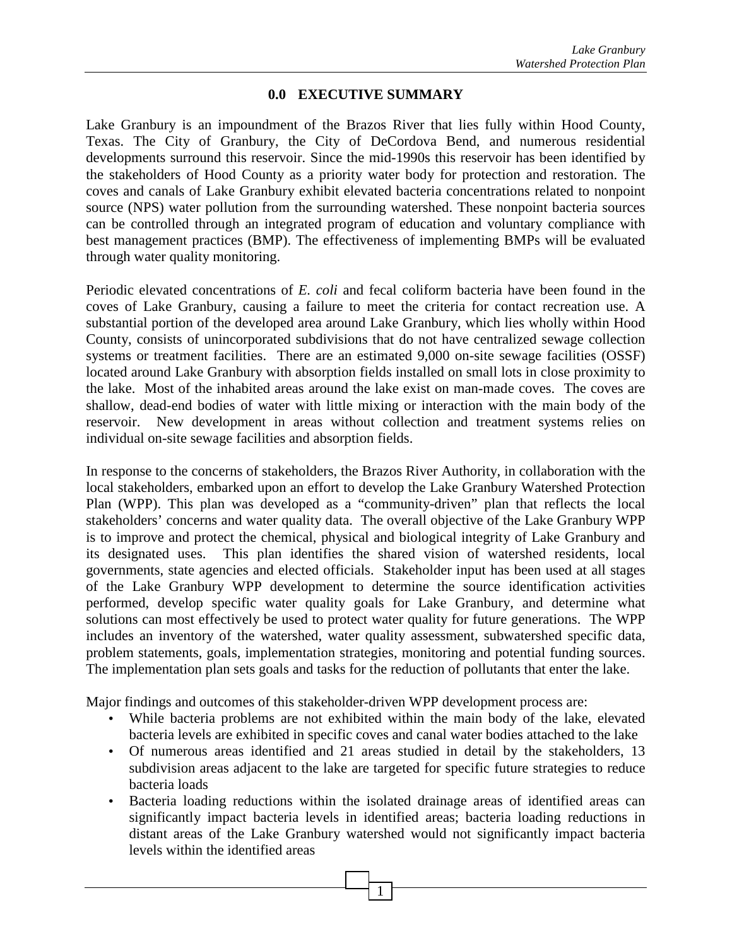## **0.0 EXECUTIVE SUMMARY**

Lake Granbury is an impoundment of the Brazos River that lies fully within Hood County, Texas. The City of Granbury, the City of DeCordova Bend, and numerous residential developments surround this reservoir. Since the mid-1990s this reservoir has been identified by the stakeholders of Hood County as a priority water body for protection and restoration. The coves and canals of Lake Granbury exhibit elevated bacteria concentrations related to nonpoint source (NPS) water pollution from the surrounding watershed. These nonpoint bacteria sources can be controlled through an integrated program of education and voluntary compliance with best management practices (BMP). The effectiveness of implementing BMPs will be evaluated through water quality monitoring.

Periodic elevated concentrations of *E. coli* and fecal coliform bacteria have been found in the coves of Lake Granbury, causing a failure to meet the criteria for contact recreation use. A substantial portion of the developed area around Lake Granbury, which lies wholly within Hood County, consists of unincorporated subdivisions that do not have centralized sewage collection systems or treatment facilities. There are an estimated 9,000 on-site sewage facilities (OSSF) located around Lake Granbury with absorption fields installed on small lots in close proximity to the lake. Most of the inhabited areas around the lake exist on man-made coves. The coves are shallow, dead-end bodies of water with little mixing or interaction with the main body of the reservoir. New development in areas without collection and treatment systems relies on individual on-site sewage facilities and absorption fields.

In response to the concerns of stakeholders, the Brazos River Authority, in collaboration with the local stakeholders, embarked upon an effort to develop the Lake Granbury Watershed Protection Plan (WPP). This plan was developed as a "community-driven" plan that reflects the local stakeholders' concerns and water quality data. The overall objective of the Lake Granbury WPP is to improve and protect the chemical, physical and biological integrity of Lake Granbury and its designated uses. This plan identifies the shared vision of watershed residents, local governments, state agencies and elected officials. Stakeholder input has been used at all stages of the Lake Granbury WPP development to determine the source identification activities performed, develop specific water quality goals for Lake Granbury, and determine what solutions can most effectively be used to protect water quality for future generations. The WPP includes an inventory of the watershed, water quality assessment, subwatershed specific data, problem statements, goals, implementation strategies, monitoring and potential funding sources. The implementation plan sets goals and tasks for the reduction of pollutants that enter the lake.

Major findings and outcomes of this stakeholder-driven WPP development process are:

- While bacteria problems are not exhibited within the main body of the lake, elevated bacteria levels are exhibited in specific coves and canal water bodies attached to the lake
- Of numerous areas identified and 21 areas studied in detail by the stakeholders, 13 subdivision areas adjacent to the lake are targeted for specific future strategies to reduce bacteria loads
- Bacteria loading reductions within the isolated drainage areas of identified areas can significantly impact bacteria levels in identified areas; bacteria loading reductions in distant areas of the Lake Granbury watershed would not significantly impact bacteria levels within the identified areas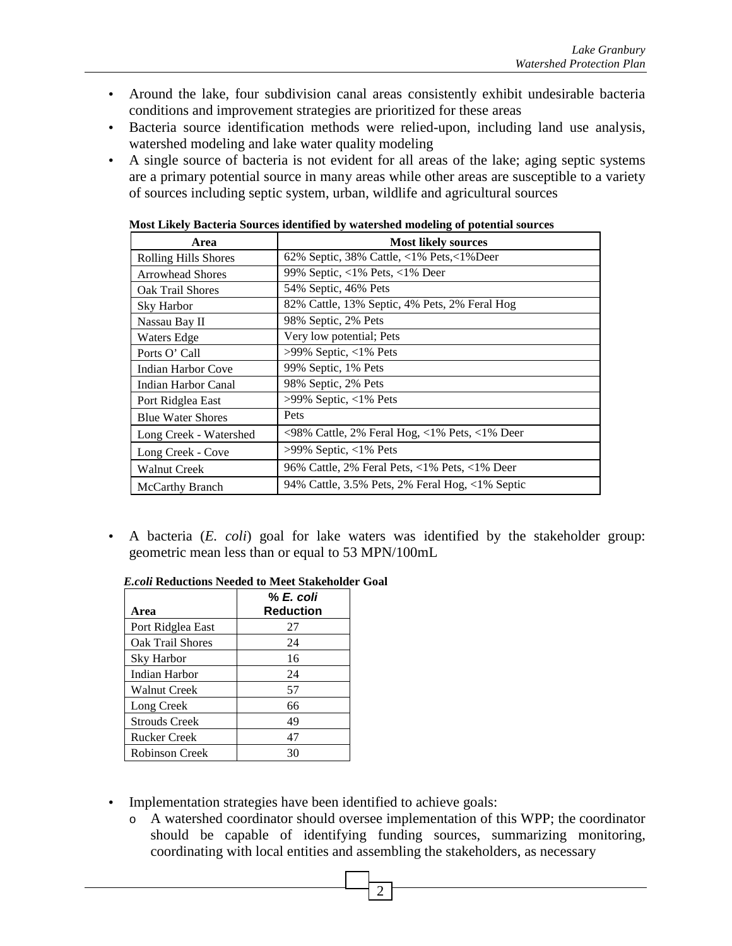- Around the lake, four subdivision canal areas consistently exhibit undesirable bacteria conditions and improvement strategies are prioritized for these areas
- Bacteria source identification methods were relied-upon, including land use analysis, watershed modeling and lake water quality modeling
- A single source of bacteria is not evident for all areas of the lake; aging septic systems are a primary potential source in many areas while other areas are susceptible to a variety of sources including septic system, urban, wildlife and agricultural sources

| Area                        | <b>Most likely sources</b>                                                                                      |
|-----------------------------|-----------------------------------------------------------------------------------------------------------------|
| <b>Rolling Hills Shores</b> | 62% Septic, 38% Cattle, $\langle 1\%$ Pets, $\langle 1\%$ Deer                                                  |
| <b>Arrowhead Shores</b>     | 99% Septic, <1% Pets, <1% Deer                                                                                  |
| Oak Trail Shores            | 54% Septic, 46% Pets                                                                                            |
| <b>Sky Harbor</b>           | 82% Cattle, 13% Septic, 4% Pets, 2% Feral Hog                                                                   |
| Nassau Bay II               | 98% Septic, 2% Pets                                                                                             |
| Waters Edge                 | Very low potential; Pets                                                                                        |
| Ports O' Call               | $>99\%$ Septic, <1% Pets                                                                                        |
| Indian Harbor Cove          | 99% Septic, 1% Pets                                                                                             |
| <b>Indian Harbor Canal</b>  | 98% Septic, 2% Pets                                                                                             |
| Port Ridglea East           | $>99\%$ Septic, <1% Pets                                                                                        |
| <b>Blue Water Shores</b>    | Pets                                                                                                            |
| Long Creek - Watershed      | $\langle 98\% \text{ Cattle}, 2\% \text{ Feral Hog}, \langle 1\% \text{ Pets}, \langle 1\% \text{ Deer}\rangle$ |
| Long Creek - Cove           | $>99\%$ Septic, <1% Pets                                                                                        |
| <b>Walnut Creek</b>         | 96% Cattle, 2% Feral Pets, $\langle 1\%$ Pets, $\langle 1\%$ Deer                                               |
| McCarthy Branch             | 94% Cattle, $3.5\%$ Pets, $2\%$ Feral Hog, $\langle 1\%$ Septic                                                 |

**Most Likely Bacteria Sources identified by watershed modeling of potential sources** 

• A bacteria (*E. coli*) goal for lake waters was identified by the stakeholder group: geometric mean less than or equal to 53 MPN/100mL

|                      | % E. coli        |
|----------------------|------------------|
| Area                 | <b>Reduction</b> |
| Port Ridglea East    | 27               |
| Oak Trail Shores     | 24               |
| <b>Sky Harbor</b>    | 16               |
| Indian Harbor        | 24               |
| <b>Walnut Creek</b>  | 57               |
| Long Creek           | 66               |
| <b>Strouds Creek</b> | 49               |
| Rucker Creek         | 47               |
| Robinson Creek       | 30               |

## *E.coli* **Reductions Needed to Meet Stakeholder Goal**

- Implementation strategies have been identified to achieve goals:
	- o A watershed coordinator should oversee implementation of this WPP; the coordinator should be capable of identifying funding sources, summarizing monitoring, coordinating with local entities and assembling the stakeholders, as necessary

2